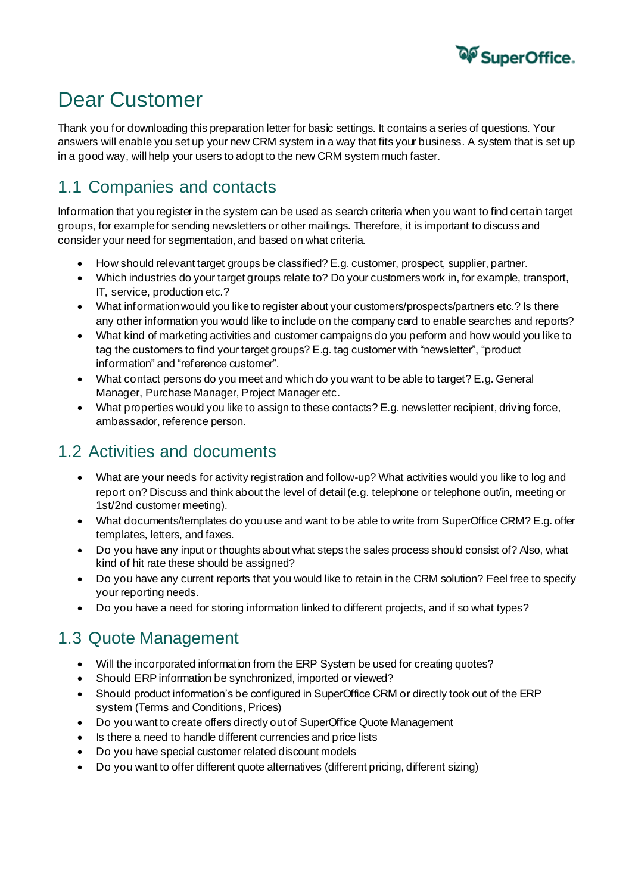

# Dear Customer

Thank you for downloading this preparation letter for basic settings. It contains a series of questions. Your answers will enable you set up your new CRM system in a way that fits your business. A system that is set up in a good way, will help your users to adopt to the new CRM system much faster.

### 1.1 Companies and contacts

Information that you register in the system can be used as search criteria when you want to find certain target groups, for example for sending newsletters or other mailings. Therefore, it is important to discuss and consider your need for segmentation, and based on what criteria.

- How should relevant target groups be classified? E.g. customer, prospect, supplier, partner.
- Which industries do your target groups relate to? Do your customers work in, for example, transport, IT, service, production etc.?
- What information would you like to register about your customers/prospects/partners etc.? Is there any other information you would like to include on the company card to enable searches and reports?
- What kind of marketing activities and customer campaigns do you perform and how would you like to tag the customers to find your target groups? E.g. tag customer with "newsletter", "product information" and "reference customer".
- What contact persons do you meet and which do you want to be able to target? E.g. General Manager, Purchase Manager, Project Manager etc.
- What properties would you like to assign to these contacts? E.g. newsletter recipient, driving force, ambassador, reference person.

## 1.2 Activities and documents

- What are your needs for activity registration and follow-up? What activities would you like to log and report on? Discuss and think about the level of detail (e.g. telephone or telephone out/in, meeting or 1st/2nd customer meeting).
- What documents/templates do you use and want to be able to write from SuperOffice CRM? E.g. offer templates, letters, and faxes.
- Do you have any input or thoughts about what steps the sales process should consist of? Also, what kind of hit rate these should be assigned?
- Do you have any current reports that you would like to retain in the CRM solution? Feel free to specify your reporting needs.
- Do you have a need for storing information linked to different projects, and if so what types?

#### 1.3 Quote Management

- Will the incorporated information from the ERP System be used for creating quotes?
- Should ERP information be synchronized, imported or viewed?
- Should product information's be configured in SuperOffice CRM or directly took out of the ERP system (Terms and Conditions, Prices)
- Do you want to create offers directly out of SuperOffice Quote Management
- Is there a need to handle different currencies and price lists
- Do you have special customer related discount models
- Do you want to offer different quote alternatives (different pricing, different sizing)